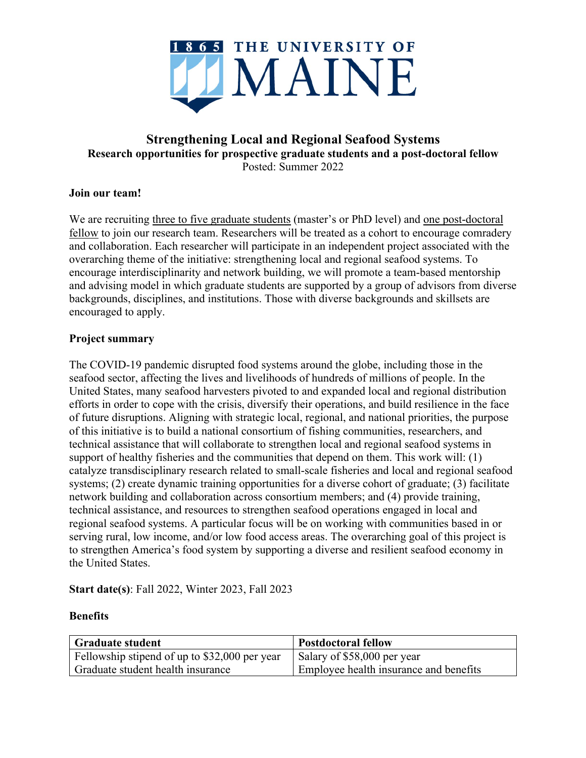

# **Strengthening Local and Regional Seafood Systems Research opportunities for prospective graduate students and a post-doctoral fellow** Posted: Summer 2022

### **Join our team!**

We are recruiting three to five graduate students (master's or PhD level) and one post-doctoral fellow to join our research team. Researchers will be treated as a cohort to encourage comradery and collaboration. Each researcher will participate in an independent project associated with the overarching theme of the initiative: strengthening local and regional seafood systems. To encourage interdisciplinarity and network building, we will promote a team-based mentorship and advising model in which graduate students are supported by a group of advisors from diverse backgrounds, disciplines, and institutions. Those with diverse backgrounds and skillsets are encouraged to apply.

### **Project summary**

The COVID-19 pandemic disrupted food systems around the globe, including those in the seafood sector, affecting the lives and livelihoods of hundreds of millions of people. In the United States, many seafood harvesters pivoted to and expanded local and regional distribution efforts in order to cope with the crisis, diversify their operations, and build resilience in the face of future disruptions. Aligning with strategic local, regional, and national priorities, the purpose of this initiative is to build a national consortium of fishing communities, researchers, and technical assistance that will collaborate to strengthen local and regional seafood systems in support of healthy fisheries and the communities that depend on them. This work will: (1) catalyze transdisciplinary research related to small-scale fisheries and local and regional seafood systems; (2) create dynamic training opportunities for a diverse cohort of graduate; (3) facilitate network building and collaboration across consortium members; and (4) provide training, technical assistance, and resources to strengthen seafood operations engaged in local and regional seafood systems. A particular focus will be on working with communities based in or serving rural, low income, and/or low food access areas. The overarching goal of this project is to strengthen America's food system by supporting a diverse and resilient seafood economy in the United States.

**Start date(s)**: Fall 2022, Winter 2023, Fall 2023

### **Benefits**

| <b>Graduate student</b>                       | <b>Postdoctoral fellow</b>             |
|-----------------------------------------------|----------------------------------------|
| Fellowship stipend of up to \$32,000 per year | Salary of \$58,000 per year            |
| Graduate student health insurance             | Employee health insurance and benefits |